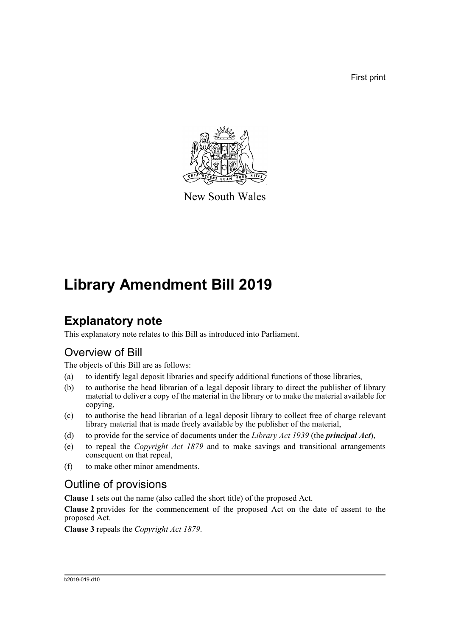First print



New South Wales

# **Library Amendment Bill 2019**

## **Explanatory note**

This explanatory note relates to this Bill as introduced into Parliament.

## Overview of Bill

The objects of this Bill are as follows:

- (a) to identify legal deposit libraries and specify additional functions of those libraries,
- (b) to authorise the head librarian of a legal deposit library to direct the publisher of library material to deliver a copy of the material in the library or to make the material available for copying,
- (c) to authorise the head librarian of a legal deposit library to collect free of charge relevant library material that is made freely available by the publisher of the material,
- (d) to provide for the service of documents under the *Library Act 1939* (the *principal Act*),
- (e) to repeal the *Copyright Act 1879* and to make savings and transitional arrangements consequent on that repeal,
- (f) to make other minor amendments.

## Outline of provisions

**Clause 1** sets out the name (also called the short title) of the proposed Act.

**Clause 2** provides for the commencement of the proposed Act on the date of assent to the proposed Act.

**Clause 3** repeals the *Copyright Act 1879*.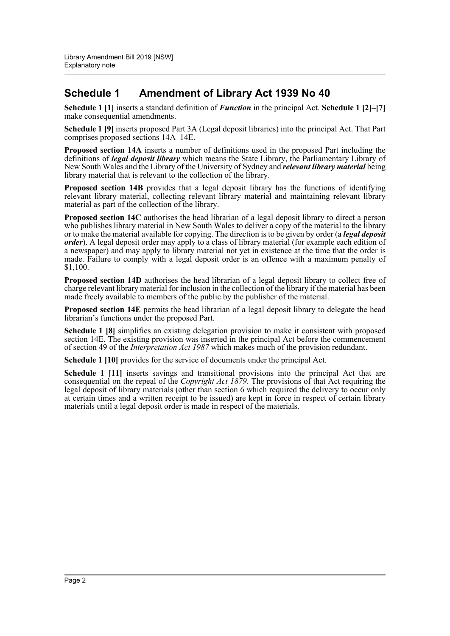## **Schedule 1 Amendment of Library Act 1939 No 40**

**Schedule 1 [1]** inserts a standard definition of *Function* in the principal Act. **Schedule 1 [2]–[7]** make consequential amendments.

**Schedule 1 [9]** inserts proposed Part 3A (Legal deposit libraries) into the principal Act. That Part comprises proposed sections 14A–14E.

**Proposed section 14A** inserts a number of definitions used in the proposed Part including the definitions of *legal deposit library* which means the State Library, the Parliamentary Library of New South Wales and the Library of the University of Sydney and *relevant library material* being library material that is relevant to the collection of the library.

**Proposed section 14B** provides that a legal deposit library has the functions of identifying relevant library material, collecting relevant library material and maintaining relevant library material as part of the collection of the library.

**Proposed section 14C** authorises the head librarian of a legal deposit library to direct a person who publishes library material in New South Wales to deliver a copy of the material to the library or to make the material available for copying. The direction is to be given by order (a *legal deposit order*). A legal deposit order may apply to a class of library material (for example each edition of a newspaper) and may apply to library material not yet in existence at the time that the order is made. Failure to comply with a legal deposit order is an offence with a maximum penalty of \$1,100.

**Proposed section 14D** authorises the head librarian of a legal deposit library to collect free of charge relevant library material for inclusion in the collection of the library if the material has been made freely available to members of the public by the publisher of the material.

**Proposed section 14E** permits the head librarian of a legal deposit library to delegate the head librarian's functions under the proposed Part.

**Schedule 1 [8]** simplifies an existing delegation provision to make it consistent with proposed section 14E. The existing provision was inserted in the principal Act before the commencement of section 49 of the *Interpretation Act 1987* which makes much of the provision redundant.

**Schedule 1 [10]** provides for the service of documents under the principal Act.

**Schedule 1 [11]** inserts savings and transitional provisions into the principal Act that are consequential on the repeal of the *Copyright Act 1879*. The provisions of that Act requiring the legal deposit of library materials (other than section 6 which required the delivery to occur only at certain times and a written receipt to be issued) are kept in force in respect of certain library materials until a legal deposit order is made in respect of the materials.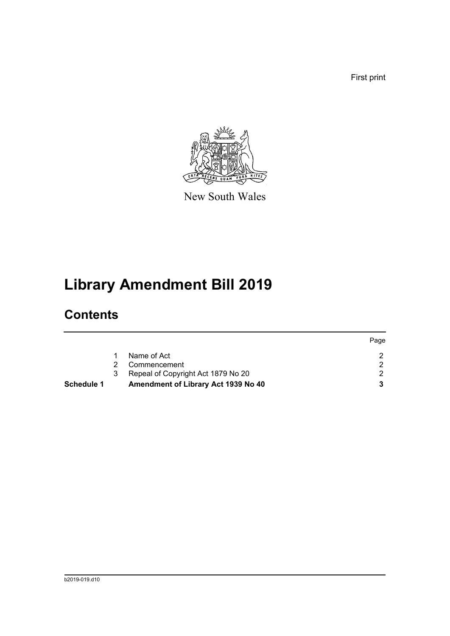First print



New South Wales

# **Library Amendment Bill 2019**

# **Contents**

|            |   |                                     | Page |
|------------|---|-------------------------------------|------|
|            |   | Name of Act                         |      |
|            |   | Commencement                        |      |
|            | 3 | Repeal of Copyright Act 1879 No 20  |      |
| Schedule 1 |   | Amendment of Library Act 1939 No 40 |      |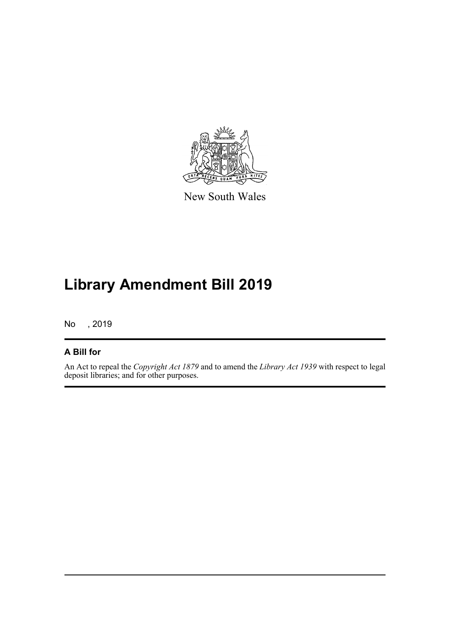

New South Wales

# **Library Amendment Bill 2019**

No , 2019

## **A Bill for**

An Act to repeal the *Copyright Act 1879* and to amend the *Library Act 1939* with respect to legal deposit libraries; and for other purposes.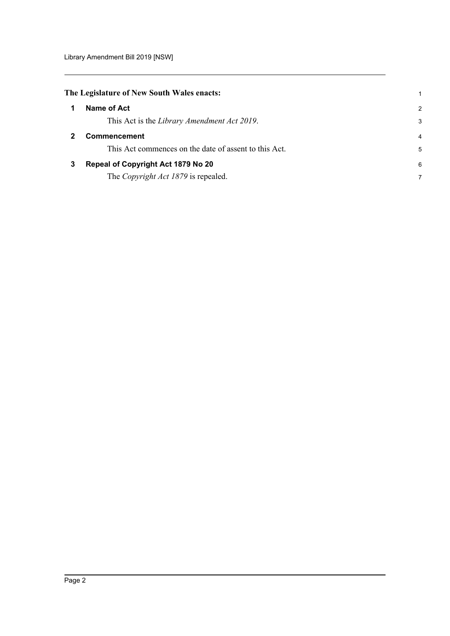<span id="page-4-2"></span><span id="page-4-1"></span><span id="page-4-0"></span>

| $\mathcal{P}$ |
|---------------|
| 3             |
| 4             |
| 5             |
| 6             |
| 7             |
|               |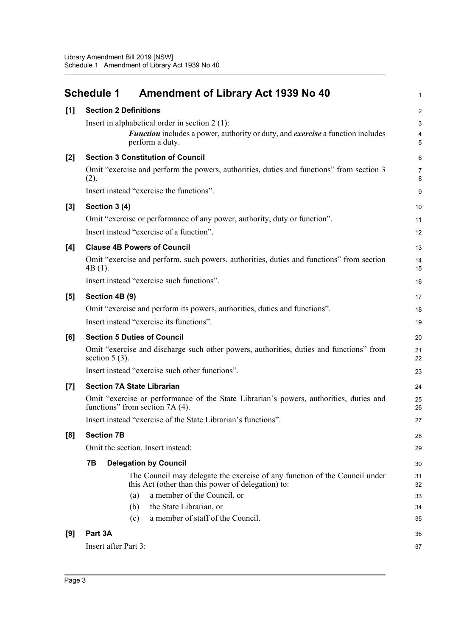<span id="page-5-0"></span>

|                  | Amendment of Library Act 1939 No 40<br><b>Schedule 1</b>                                                                         | $\mathbf{1}$        |  |
|------------------|----------------------------------------------------------------------------------------------------------------------------------|---------------------|--|
| [1]              | <b>Section 2 Definitions</b>                                                                                                     |                     |  |
|                  | Insert in alphabetical order in section $2(1)$ :                                                                                 | 3                   |  |
|                  | <b>Function</b> includes a power, authority or duty, and <i>exercise</i> a function includes<br>perform a duty.                  | 4<br>5              |  |
| $[2]$            | <b>Section 3 Constitution of Council</b>                                                                                         | 6                   |  |
|                  | Omit "exercise and perform the powers, authorities, duties and functions" from section 3<br>(2).                                 | $\overline{7}$<br>8 |  |
|                  | Insert instead "exercise the functions".                                                                                         | 9                   |  |
| $[3]$            | Section 3 (4)                                                                                                                    | 10                  |  |
|                  | Omit "exercise or performance of any power, authority, duty or function".                                                        | 11                  |  |
|                  | Insert instead "exercise of a function".                                                                                         | 12                  |  |
| [4]              | <b>Clause 4B Powers of Council</b>                                                                                               | 13                  |  |
|                  | Omit "exercise and perform, such powers, authorities, duties and functions" from section<br>$4B(1)$ .                            | 14<br>15            |  |
|                  | Insert instead "exercise such functions".                                                                                        | 16                  |  |
| [5]              | Section 4B (9)                                                                                                                   | 17                  |  |
|                  | Omit "exercise and perform its powers, authorities, duties and functions".                                                       | 18                  |  |
|                  | Insert instead "exercise its functions".                                                                                         | 19                  |  |
| [6]              | <b>Section 5 Duties of Council</b>                                                                                               | 20                  |  |
|                  | Omit "exercise and discharge such other powers, authorities, duties and functions" from<br>section $5(3)$ .                      | 21<br>22            |  |
|                  | Insert instead "exercise such other functions".                                                                                  | 23                  |  |
| $\left[7\right]$ | <b>Section 7A State Librarian</b>                                                                                                | 24                  |  |
|                  | Omit "exercise or performance of the State Librarian's powers, authorities, duties and<br>functions" from section 7A (4).        | 25<br>26            |  |
|                  | Insert instead "exercise of the State Librarian's functions".                                                                    | 27                  |  |
| [8]              | <b>Section 7B</b>                                                                                                                | 28                  |  |
|                  | Omit the section. Insert instead:                                                                                                | 29                  |  |
|                  | 7В<br><b>Delegation by Council</b>                                                                                               | 30                  |  |
|                  | The Council may delegate the exercise of any function of the Council under<br>this Act (other than this power of delegation) to: | 31<br>32            |  |
|                  | a member of the Council, or<br>(a)                                                                                               | 33                  |  |
|                  | the State Librarian, or<br>(b)                                                                                                   | 34                  |  |
|                  | a member of staff of the Council.<br>(c)                                                                                         | 35                  |  |
| [9]              | Part 3A                                                                                                                          | 36                  |  |
|                  | Insert after Part 3:                                                                                                             | 37                  |  |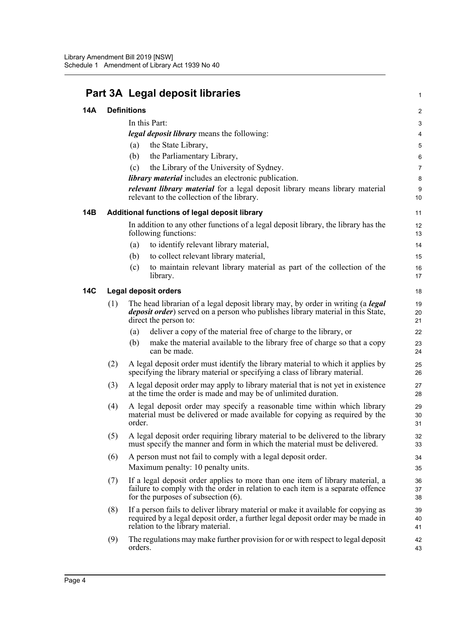|            |                    | Part 3A Legal deposit libraries                                                                                                                                                                            | 1              |
|------------|--------------------|------------------------------------------------------------------------------------------------------------------------------------------------------------------------------------------------------------|----------------|
| 14A        | <b>Definitions</b> |                                                                                                                                                                                                            |                |
|            |                    | In this Part:                                                                                                                                                                                              | 3              |
|            |                    | legal deposit library means the following:                                                                                                                                                                 | 4              |
|            |                    | the State Library,<br>(a)                                                                                                                                                                                  | 5              |
|            |                    | the Parliamentary Library,<br>(b)                                                                                                                                                                          | 6              |
|            |                    | the Library of the University of Sydney.<br>(c)                                                                                                                                                            | 7              |
|            |                    | <i>library material</i> includes an electronic publication.                                                                                                                                                | 8              |
|            |                    | <i>relevant library material</i> for a legal deposit library means library material<br>relevant to the collection of the library.                                                                          | 9<br>10        |
| 14B        |                    | Additional functions of legal deposit library                                                                                                                                                              | 11             |
|            |                    | In addition to any other functions of a legal deposit library, the library has the<br>following functions:                                                                                                 | 12<br>13       |
|            |                    | to identify relevant library material,<br>(a)                                                                                                                                                              | 14             |
|            |                    | to collect relevant library material,<br>(b)                                                                                                                                                               | 15             |
|            |                    | to maintain relevant library material as part of the collection of the<br>(c)<br>library.                                                                                                                  | 16<br>17       |
| <b>14C</b> |                    | <b>Legal deposit orders</b>                                                                                                                                                                                | 18             |
|            | (1)                | The head librarian of a legal deposit library may, by order in writing (a <i>legal</i><br><i>deposit order</i> ) served on a person who publishes library material in this State,<br>direct the person to: | 19<br>20<br>21 |
|            |                    | deliver a copy of the material free of charge to the library, or<br>(a)                                                                                                                                    | 22             |
|            |                    | make the material available to the library free of charge so that a copy<br>(b)<br>can be made.                                                                                                            | 23<br>24       |
|            | (2)                | A legal deposit order must identify the library material to which it applies by<br>specifying the library material or specifying a class of library material.                                              | 25<br>26       |
|            | (3)                | A legal deposit order may apply to library material that is not yet in existence<br>at the time the order is made and may be of unlimited duration.                                                        | 27<br>28       |
|            | (4)                | A legal deposit order may specify a reasonable time within which library<br>material must be delivered or made available for copying as required by the<br>order.                                          | 29<br>30<br>31 |
|            | (5)                | A legal deposit order requiring library material to be delivered to the library<br>must specify the manner and form in which the material must be delivered.                                               | 32<br>33       |
|            | (6)                | A person must not fail to comply with a legal deposit order.<br>Maximum penalty: 10 penalty units.                                                                                                         | 34<br>35       |
|            | (7)                | If a legal deposit order applies to more than one item of library material, a<br>failure to comply with the order in relation to each item is a separate offence<br>for the purposes of subsection $(6)$ . | 36<br>37<br>38 |
|            | (8)                | If a person fails to deliver library material or make it available for copying as<br>required by a legal deposit order, a further legal deposit order may be made in<br>relation to the library material.  | 39<br>40<br>41 |
|            | (9)                | The regulations may make further provision for or with respect to legal deposit<br>orders.                                                                                                                 | 42<br>43       |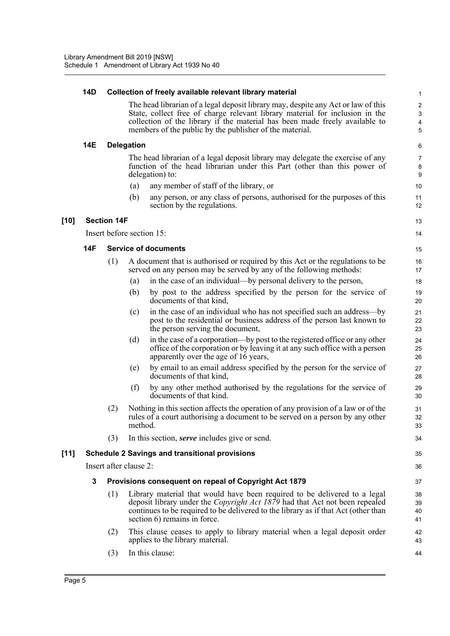#### **14D Collection of freely available relevant library material**

The head librarian of a legal deposit library may, despite any Act or law of this State, collect free of charge relevant library material for inclusion in the collection of the library if the material has been made freely available to members of the public by the publisher of the material.

13 14

### **14E Delegation**

The head librarian of a legal deposit library may delegate the exercise of any function of the head librarian under this Part (other than this power of delegation) to:

- (a) any member of staff of the library, or
- (b) any person, or any class of persons, authorised for the purposes of this section by the regulations.

## **[10] Section 14F**

Insert before section 15:

### **14F Service of documents**

- (1) A document that is authorised or required by this Act or the regulations to be served on any person may be served by any of the following methods:
	- (a) in the case of an individual—by personal delivery to the person,
	- (b) by post to the address specified by the person for the service of documents of that kind,
	- (c) in the case of an individual who has not specified such an address—by post to the residential or business address of the person last known to the person serving the document,
	- (d) in the case of a corporation—by post to the registered office or any other office of the corporation or by leaving it at any such office with a person apparently over the age of 16 years,
	- (e) by email to an email address specified by the person for the service of documents of that kind,
	- (f) by any other method authorised by the regulations for the service of documents of that kind.
- (2) Nothing in this section affects the operation of any provision of a law or of the rules of a court authorising a document to be served on a person by any other method.
- (3) In this section, *serve* includes give or send.

## **[11] Schedule 2 Savings and transitional provisions**

Insert after clause 2:

#### **3 Provisions consequent on repeal of Copyright Act 1879**

- (1) Library material that would have been required to be delivered to a legal deposit library under the *Copyright Act 1879* had that Act not been repealed continues to be required to be delivered to the library as if that Act (other than section 6) remains in force.
- (2) This clause ceases to apply to library material when a legal deposit order applies to the library material.
- (3) In this clause: